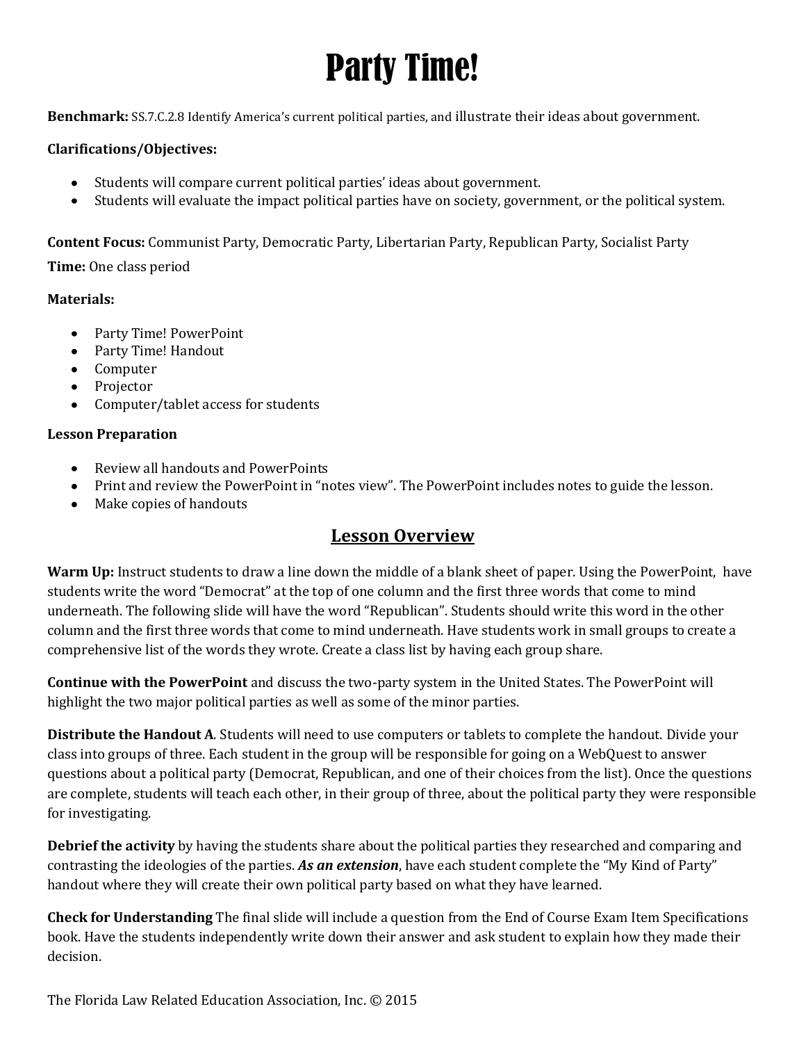### Party Time!

**Benchmark:** SS.7.C.2.8 Identify America's current political parties, and illustrate their ideas about government.

#### **Clarifications/Objectives:**

- Students will compare current political parties' ideas about government.
- $\bullet$ Students will evaluate the impact political parties have on society, government, or the political system.

**Content Focus:** Communist Party, Democratic Party, Libertarian Party, Republican Party, Socialist Party

**Time:** One class period

#### **Materials:**

- Party Time! PowerPoint
- Party Time! Handout
- Computer
- Projector
- Computer/tablet access for students

#### **Lesson Preparation**

- Review all handouts and PowerPoints
- Print and review the PowerPoint in "notes view". The PowerPoint includes notes to guide the lesson.
- Make copies of handouts

### **Lesson Overview**

**Warm Up:** Instruct students to draw a line down the middle of a blank sheet of paper. Using the PowerPoint, have students write the word "Democrat" at the top of one column and the first three words that come to mind underneath. The following slide will have the word "Republican". Students should write this word in the other column and the first three words that come to mind underneath. Have students work in small groups to create a comprehensive list of the words they wrote. Create a class list by having each group share.

**Continue with the PowerPoint** and discuss the two-party system in the United States. The PowerPoint will highlight the two major political parties as well as some of the minor parties.

**Distribute the Handout A**. Students will need to use computers or tablets to complete the handout. Divide your class into groups of three. Each student in the group will be responsible for going on a WebQuest to answer questions about a political party (Democrat, Republican, and one of their choices from the list). Once the questions are complete, students will teach each other, in their group of three, about the political party they were responsible for investigating.

**Debrief the activity** by having the students share about the political parties they researched and comparing and contrasting the ideologies of the parties. *As an extension*, have each student complete the "My Kind of Party" handout where they will create their own political party based on what they have learned.

**Check for Understanding** The final slide will include a question from the End of Course Exam Item Specifications book. Have the students independently write down their answer and ask student to explain how they made their decision.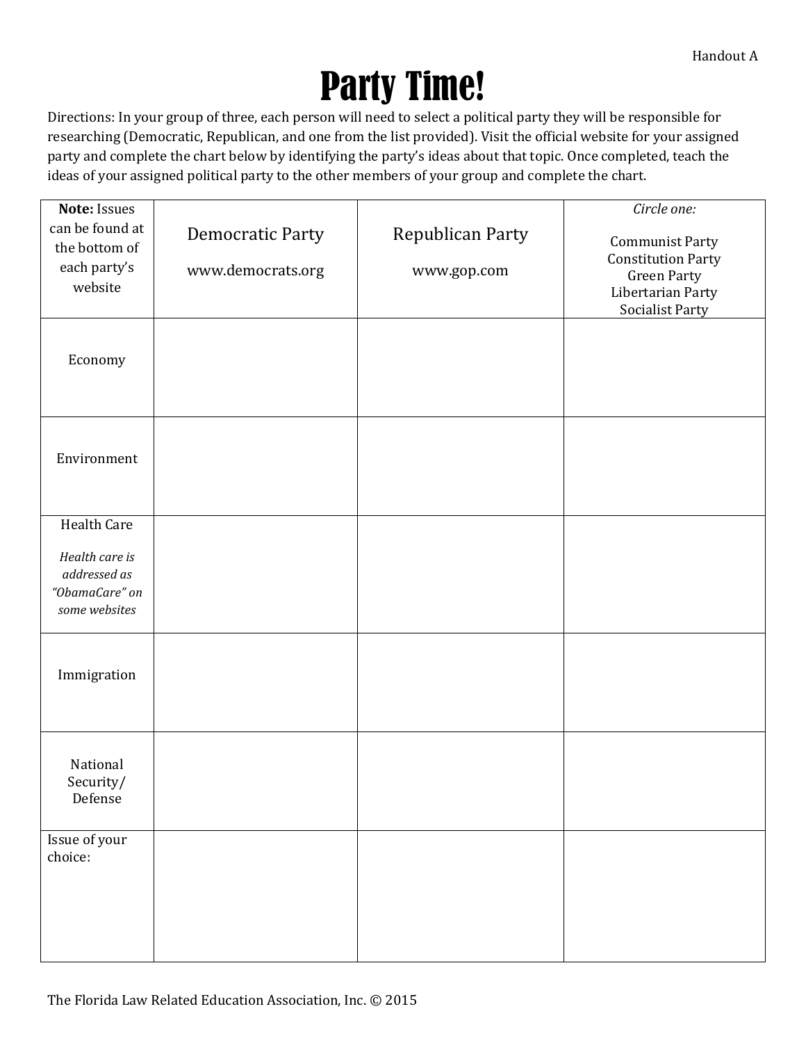# Party Time!

Directions: In your group of three, each person will need to select a political party they will be responsible for researching (Democratic, Republican, and one from the list provided). Visit the official website for your assigned party and complete the chart below by identifying the party's ideas about that topic. Once completed, teach the ideas of your assigned political party to the other members of your group and complete the chart.

| Note: Issues                                                      |                         |                  | Circle one:                                                       |
|-------------------------------------------------------------------|-------------------------|------------------|-------------------------------------------------------------------|
| can be found at<br>the bottom of                                  | <b>Democratic Party</b> | Republican Party | <b>Communist Party</b><br><b>Constitution Party</b>               |
| each party's<br>website                                           | www.democrats.org       | www.gop.com      | <b>Green Party</b><br>Libertarian Party<br><b>Socialist Party</b> |
| Economy                                                           |                         |                  |                                                                   |
| Environment                                                       |                         |                  |                                                                   |
| Health Care                                                       |                         |                  |                                                                   |
| Health care is<br>addressed as<br>"ObamaCare" on<br>some websites |                         |                  |                                                                   |
| Immigration                                                       |                         |                  |                                                                   |
| National<br>Security/<br>Defense                                  |                         |                  |                                                                   |
| Issue of your<br>choice:                                          |                         |                  |                                                                   |
|                                                                   |                         |                  |                                                                   |